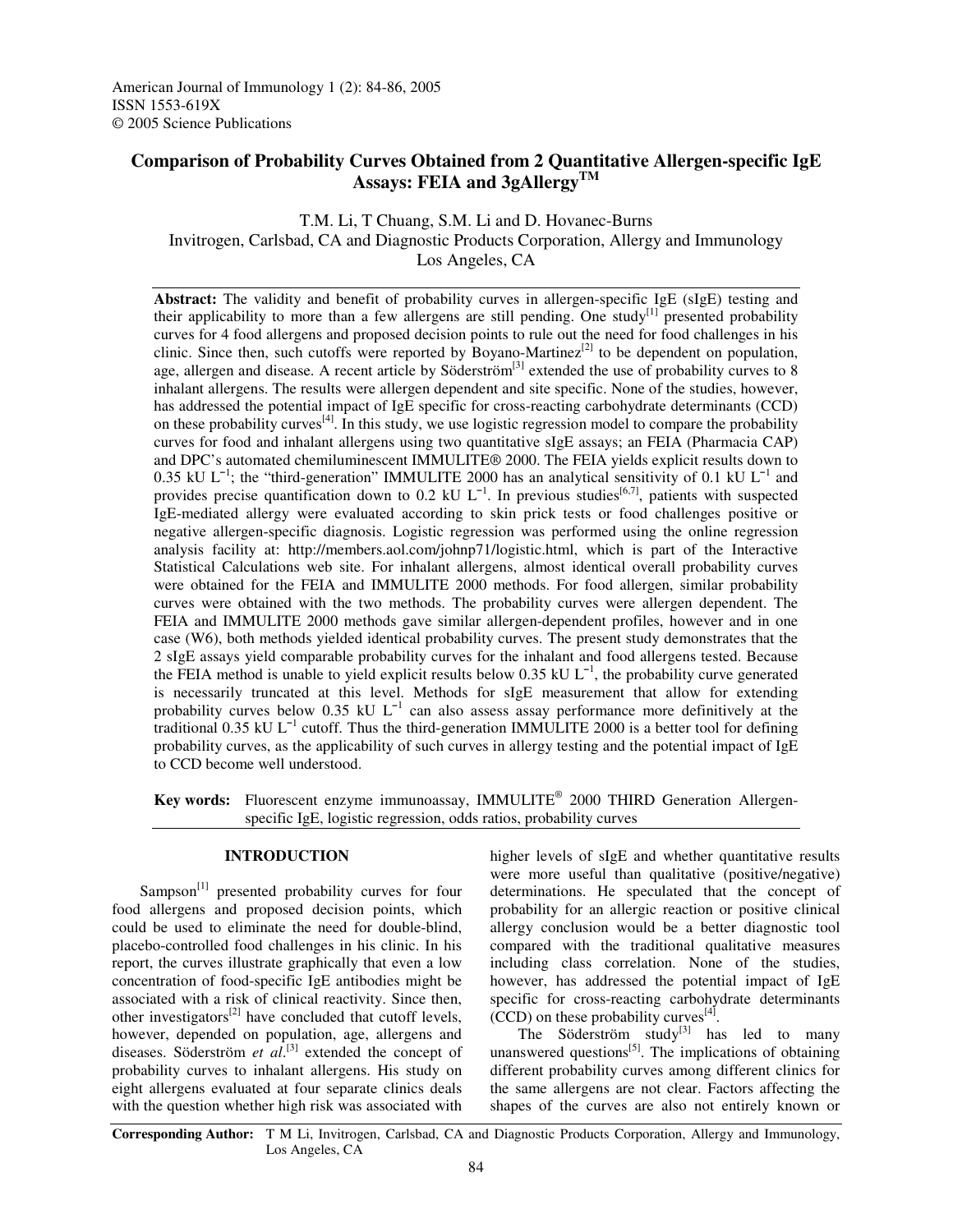# **Comparison of Probability Curves Obtained from 2 Quantitative Allergen-specific IgE Assays: FEIA and 3gAllergy TM**

## T.M. Li, T Chuang, S.M. Li and D. Hovanec-Burns Invitrogen, Carlsbad, CA and Diagnostic Products Corporation, Allergy and Immunology Los Angeles, CA

**Abstract:** The validity and benefit of probability curves in allergen-specific IgE (sIgE) testing and their applicability to more than a few allergens are still pending. One study<sup>[1]</sup> presented probability curves for 4 food allergens and proposed decision points to rule out the need for food challenges in his clinic. Since then, such cutoffs were reported by Boyano-Martinez<sup>[2]</sup> to be dependent on population, age, allergen and disease. A recent article by Söderström<sup>[3]</sup> extended the use of probability curves to 8 inhalant allergens. The results were allergen dependent and site specific. None of the studies, however, has addressed the potential impact of IgE specific for cross-reacting carbohydrate determinants (CCD) on these probability curves<sup>[4]</sup>. In this study, we use logistic regression model to compare the probability curves for food and inhalant allergens using two quantitative sIgE assays; an FEIA (Pharmacia CAP) and DPC's automated chemiluminescent IMMULITE® 2000. The FEIA yields explicit results down to 0.35 kU L<sup>-1</sup>; the "third-generation" IMMULITE 2000 has an analytical sensitivity of 0.1 kU L<sup>-1</sup> and provides precise quantification down to 0.2 kU  $L^{-1}$ . In previous studies  $[6,7]$ , patients with suspected IgE-mediated allergy were evaluated according to skin prick tests or food challenges positive or negative allergen-specific diagnosis. Logistic regression was performed using the online regression analysis facility at: http://members.aol.com/johnp71/logistic.html, which is part of the Interactive Statistical Calculations web site. For inhalant allergens, almost identical overall probability curves were obtained for the FEIA and IMMULITE 2000 methods. For food allergen, similar probability curves were obtained with the two methods. The probability curves were allergen dependent. The FEIA and IMMULITE 2000 methods gave similar allergen-dependent profiles, however and in one case (W6), both methods yielded identical probability curves. The present study demonstrates that the 2 sIgE assays yield comparable probability curves for the inhalant and food allergens tested. Because the FEIA method is unable to yield explicit results below  $0.35 \text{ kU L}^{-1}$ , the probability curve generated is necessarily truncated at this level. Methods for sIgE measurement that allow for extending probability curves below 0.35 kU  $L^{-1}$  can also assess assay performance more definitively at the traditional 0.35 kU L 1 cutoff. Thus the third-generation IMMULITE 2000 is a better tool for defining probability curves, as the applicability of such curves in allergy testing and the potential impact of IgE to CCD become well understood.

**Key words:** Fluorescent enzyme immunoassay, IMMULITE ® 2000 THIRD Generation Allergenspecific IgE, logistic regression, odds ratios, probability curves

### **INTRODUCTION**

Sampson<sup>[1]</sup> presented probability curves for four food allergens and proposed decision points, which could be used to eliminate the need for double-blind, placebo-controlled food challenges in his clinic. In his report, the curves illustrate graphically that even a low concentration of food-specific IgE antibodies might be associated with a risk of clinical reactivity. Since then, other investigators<sup>[2]</sup> have concluded that cutoff levels, however, depended on population, age, allergens and diseases. Söderström *et al*. [3] extended the concept of probability curves to inhalant allergens. His study on eight allergens evaluated at four separate clinics deals with the question whether high risk was associated with

higher levels of sIgE and whether quantitative results were more useful than qualitative (positive/negative) determinations. He speculated that the concept of probability for an allergic reaction or positive clinical allergy conclusion would be a better diagnostic tool compared with the traditional qualitative measures including class correlation. None of the studies, however, has addressed the potential impact of IgE specific for cross-reacting carbohydrate determinants  $(CCD)$  on these probability curves<sup>[4]</sup>.

The Söderström study<sup>[3]</sup> has led to many unanswered questions<sup>[5]</sup>. The implications of obtaining different probability curves among different clinics for the same allergens are not clear. Factors affecting the shapes of the curves are also not entirely known or

**Corresponding Author:** T M Li, Invitrogen, Carlsbad, CA and Diagnostic Products Corporation, Allergy and Immunology, Los Angeles, CA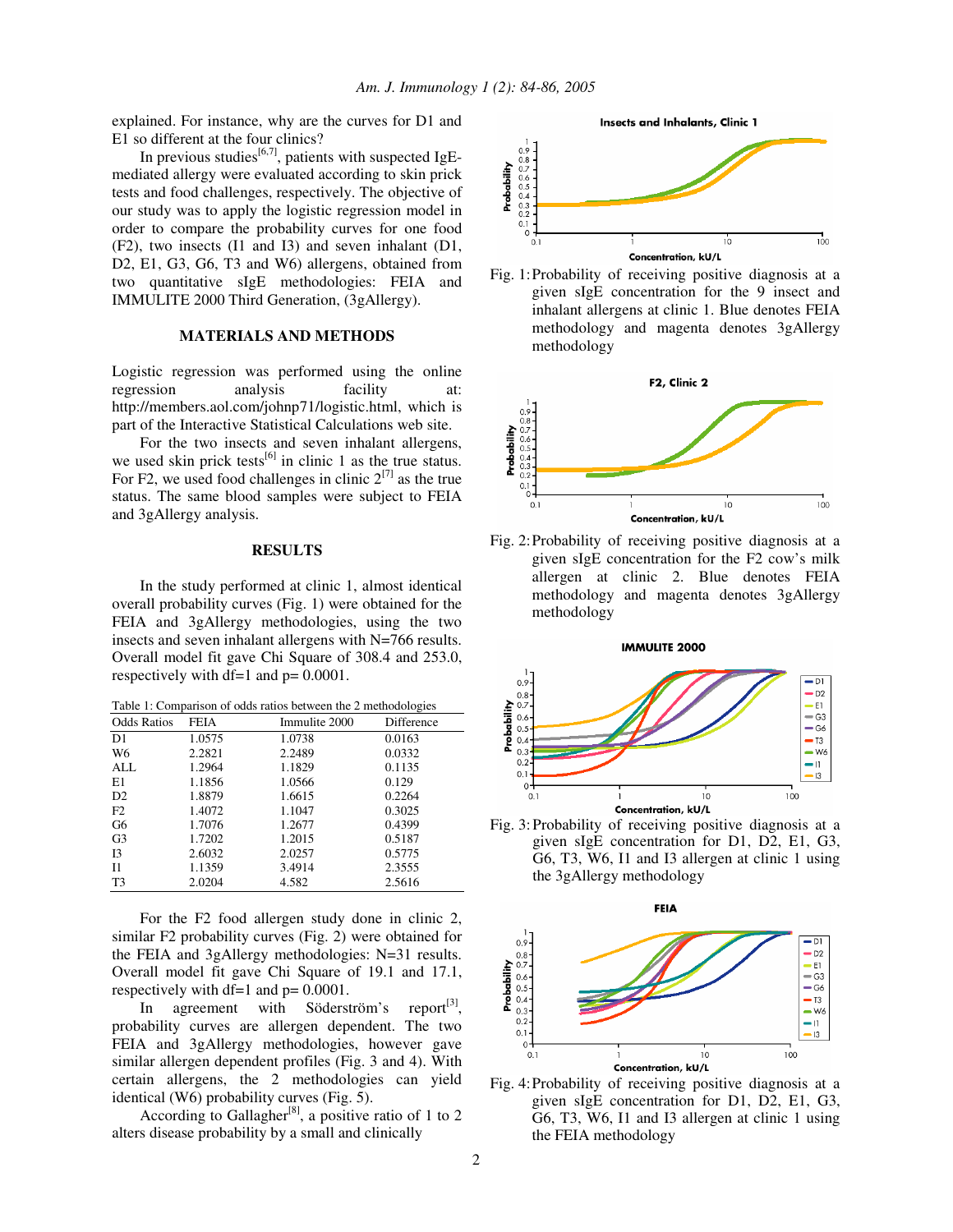explained. For instance, why are the curves for D1 and E1 so different at the four clinics?

In previous studies $^{[6,7]}$ , patients with suspected IgEmediated allergy were evaluated according to skin prick tests and food challenges, respectively. The objective of our study was to apply the logistic regression model in order to compare the probability curves for one food (F2), two insects (I1 and I3) and seven inhalant (D1, D2, E1, G3, G6, T3 and W6) allergens, obtained from two quantitative sIgE methodologies: FEIA and IMMULITE 2000 Third Generation, (3gAllergy).

#### **MATERIALS AND METHODS**

Logistic regression was performed using the online regression analysis facility at: http://members.aol.com/johnp71/logistic.html, which is part of the Interactive Statistical Calculations web site.

For the two insects and seven inhalant allergens, we used skin prick tests<sup>[6]</sup> in clinic 1 as the true status. For F2, we used food challenges in clinic  $2^{[7]}$  as the true status. The same blood samples were subject to FEIA and 3gAllergy analysis.

#### **RESULTS**

In the study performed at clinic 1, almost identical overall probability curves (Fig. 1) were obtained for the FEIA and 3gAllergy methodologies, using the two insects and seven inhalant allergens with N=766 results. Overall model fit gave Chi Square of 308.4 and 253.0, respectively with df=1 and p= 0.0001.

Table 1: Comparison of odds ratios between the 2 methodologies

| <b>Odds Ratios</b> | <b>FEIA</b> | Immulite 2000 | Difference |
|--------------------|-------------|---------------|------------|
| D1                 | 1.0575      | 1.0738        | 0.0163     |
| W6                 | 2.2821      | 2.2489        | 0.0332     |
| ALL                | 1.2964      | 1.1829        | 0.1135     |
| E1                 | 1.1856      | 1.0566        | 0.129      |
| D <sub>2</sub>     | 1.8879      | 1.6615        | 0.2264     |
| F2                 | 1.4072      | 1.1047        | 0.3025     |
| G6                 | 1.7076      | 1.2677        | 0.4399     |
| G <sub>3</sub>     | 1.7202      | 1.2015        | 0.5187     |
| <b>I3</b>          | 2.6032      | 2.0257        | 0.5775     |
| $_{11}$            | 1.1359      | 3.4914        | 2.3555     |
| T <sub>3</sub>     | 2.0204      | 4.582         | 2.5616     |

For the F2 food allergen study done in clinic 2, similar F2 probability curves (Fig. 2) were obtained for the FEIA and 3gAllergy methodologies: N=31 results. Overall model fit gave Chi Square of 19.1 and 17.1, respectively with df=1 and p= 0.0001.

In agreement with Söderström's [3] , probability curves are allergen dependent. The two FEIA and 3gAllergy methodologies, however gave similar allergen dependent profiles (Fig. 3 and 4). With certain allergens, the 2 methodologies can yield identical (W6) probability curves (Fig. 5).

According to Gallagher<sup>[8]</sup>, a positive ratio of 1 to 2 alters disease probability by a small and clinically







Fig. 2:Probability of receiving positive diagnosis at a given sIgE concentration for the F2 cow's milk allergen at clinic 2. Blue denotes FEIA methodology and magenta denotes 3gAllergy methodology

**IMMULITE 2000** 



Fig. 3:Probability of receiving positive diagnosis at a given sIgE concentration for D1, D2, E1, G3, G6, T3, W6, I1 and I3 allergen at clinic 1 using the 3gAllergy methodology



Fig. 4:Probability of receiving positive diagnosis at a given sIgE concentration for D1, D2, E1, G3, G6, T3, W6, I1 and I3 allergen at clinic 1 using the FEIA methodology